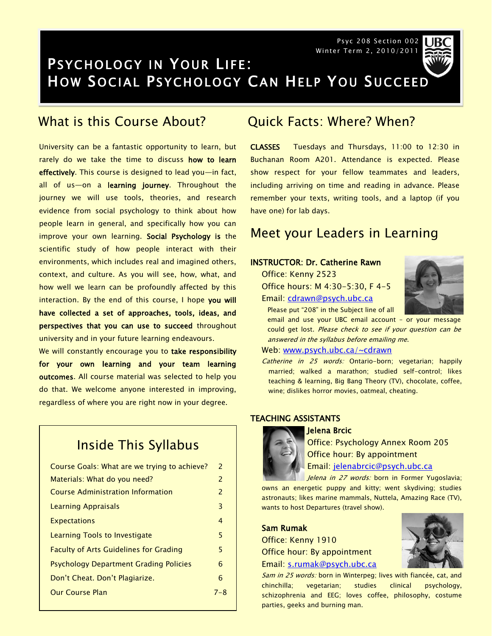Psyc 208 Section 002 Winter Term 2, 2010/2011



## PSYCHOLOGY IN YOUR LIFE: HOW SOCIAL PSYCHOLOGY CAN HELP YOU SUCCEED

## What is this Course About?

University can be a fantastic opportunity to learn, but rarely do we take the time to discuss how to learn effectively. This course is designed to lead you-in fact, all of us-on a learning journey. Throughout the journey we will use tools, theories, and research evidence from social psychology to think about how people learn in general, and specifically how you can improve your own learning. Social Psychology is the scientific study of how people interact with their environments, which includes real and imagined others, context, and culture. As you will see, how, what, and how well we learn can be profoundly affected by this interaction. By the end of this course, I hope you will have collected a set of approaches, tools, ideas, and perspectives that you can use to succeed throughout university and in your future learning endeavours.

We will constantly encourage you to take responsibility for your own learning and your team learning outcomes. All course material was selected to help you do that. We welcome anyone interested in improving, regardless of where you are right now in your degree.

## Inside This Syllabus

| Course Goals: What are we trying to achieve?  | 2   |
|-----------------------------------------------|-----|
| Materials: What do you need?                  | 2   |
| <b>Course Administration Information</b>      | 2   |
| Learning Appraisals                           | 3   |
| <b>Expectations</b>                           | 4   |
| Learning Tools to Investigate                 | 5   |
| <b>Faculty of Arts Guidelines for Grading</b> | 5   |
| <b>Psychology Department Grading Policies</b> | 6   |
| Don't Cheat. Don't Plagiarize.                | 6   |
| <b>Our Course Plan</b>                        | 7–8 |
|                                               |     |

## Quick Facts: Where? When?

CLASSES Tuesdays and Thursdays, 11:00 to 12:30 in Buchanan Room A201. Attendance is expected. Please show respect for your fellow teammates and leaders, including arriving on time and reading in advance. Please remember your texts, writing tools, and a laptop (if you have one) for lab days.

### Meet your Leaders in Learning

### INSTRUCTOR: Dr. Catherine Rawn

- Office: Kenny 2523 Office hours: M 4:30-5:30, F 4-5
- Email: [cdrawn@psych.ubc.ca](mailto:cdrawn@psych.ubc.ca)



email and use your UBC email account – or your message could get lost. Please check to see if your question can be answered in the syllabus before emailing me.

#### Web: [www.psych.ubc.ca/~cdrawn](http://www.psych.ubc.ca/~cdrawn)

Catherine in 25 words: Ontario-born; vegetarian; happily married; walked a marathon; studied self-control; likes teaching & learning, Big Bang Theory (TV), chocolate, coffee, wine; dislikes horror movies, oatmeal, cheating.

### TEACHING ASSISTANTS

#### Jelena Brcic



Office: Psychology Annex Room 205 Office hour: By appointment Email: [jelenabrcic@psych.ubc.ca](mailto:jelenabrcic@psych.ubc.ca)

Jelena in 27 words: born in Former Yugoslavia; owns an energetic puppy and kitty; went skydiving; studies astronauts; likes marine mammals, Nuttela, Amazing Race (TV), wants to host Departures (travel show).

#### Sam Rumak

Office: Kenny 1910 Office hour: By appointment



Email: [s.rumak@psych.ubc.ca](mailto:s.rumak@psych.ubc.ca)

Sam in 25 words: born in Winterpeg; lives with fiancée, cat, and chinchilla; vegetarian; studies clinical psychology, schizophrenia and EEG; loves coffee, philosophy, costume parties, geeks and burning man.

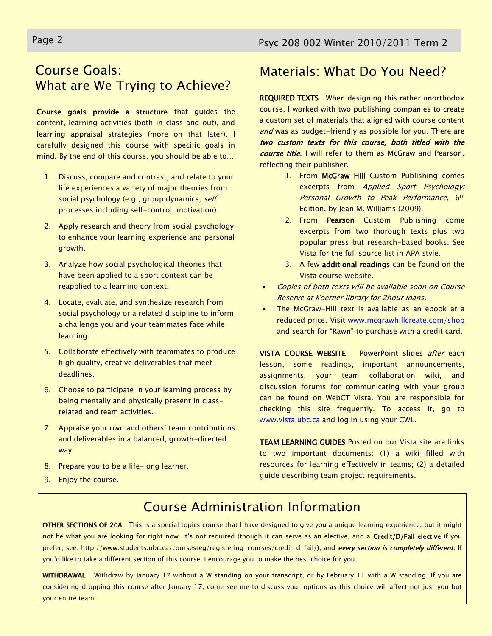## Course Goals: What are We Trying to Achieve?

Course goals provide a structure that guides the content, learning activities (both in class and out), and learning appraisal strategies (more on that later). I carefully designed this course with specific goals in mind. By the end of this course, you should be able to…

- 1. Discuss, compare and contrast, and relate to your life experiences a variety of major theories from social psychology (e.g., group dynamics, self processes including self-control, motivation).
- 2. Apply research and theory from social psychology to enhance your learning experience and personal growth.
- 3. Analyze how social psychological theories that have been applied to a sport context can be reapplied to a learning context.
- 4. Locate, evaluate, and synthesize research from social psychology or a related discipline to inform a challenge you and your teammates face while learning.
- 5. Collaborate effectively with teammates to produce high quality, creative deliverables that meet deadlines.
- 6. Choose to participate in your learning process by being mentally and physically present in classrelated and team activities.
- 7. Appraise your own and others' team contributions and deliverables in a balanced, growth-directed way.
- 8. Prepare you to be a life-long learner.
- 9. Enjoy the course.

## Materials: What Do You Need?

REQUIRED TEXTS When designing this rather unorthodox course, I worked with two publishing companies to create a custom set of materials that aligned with course content and was as budget-friendly as possible for you. There are two custom texts for this course, both titled with the course title. I will refer to them as McGraw and Pearson, reflecting their publisher.

- 1. From McGraw-Hill Custom Publishing comes excerpts from Applied Sport Psychology: Personal Growth to Peak Performance, 6th Edition, by Jean M. Williams (2009).
- 2. From Pearson Custom Publishing come excerpts from two thorough texts plus two popular press but research-based books. See Vista for the full source list in APA style.
- 3. A few additional readings can be found on the Vista course website.
- Copies of both texts will be available soon on Course Reserve at Koerner library for 2hour loans.
- The McGraw-Hill text is available as an ebook at a reduced price. Visit [www.mcgrawhillcreate.com/shop](http://www.mcgrawhillcreate.com/shop) and search for "Rawn" to purchase with a credit card.

VISTA COURSE WEBSITE PowerPoint slides after each lesson, some readings, important announcements, assignments, your team collaboration wiki, and discussion forums for communicating with your group can be found on WebCT Vista. You are responsible for checking this site frequently. To access it, go to [www.vista.ubc.ca](http://www.vista.ubc.ca/) and log in using your CWL.

TEAM LEARNING GUIDES Posted on our Vista site are links to two important documents: (1) a wiki filled with resources for learning effectively in teams; (2) a detailed guide describing team project requirements.

### Don't try it, don't do it. The consequences are more Course Administration Information Norwich: Norwich School (1986)

OTHER SECTIONS OF 208 This is a special topics course that I have designed to give you a unique learning experience, but it might  $\vert$ and the future controls of the future. The future in the future of the future of the future of the future of t<br>In the what you are looking for right now. It's not required (though it can serve as an elective, and a Credit/  $\frac{1}{2}$  about the long-term input that outcome in  $\frac{1}{2}$ life. prefer; see: http://www.students.ubc.ca/coursesreg/registering-courses/credit-d-fail/), and every section is completely different. If you'd like to take a different section of this course, I encourage you to make the best choice for you.

**WITHDRAWAL** Withdraw by January 17 without a W standing on your transcript, or by February 11 with a W standing. If you are I considering dropping this course after January 17, come see me to discuss your options as this choice will affect not just you but your entire team.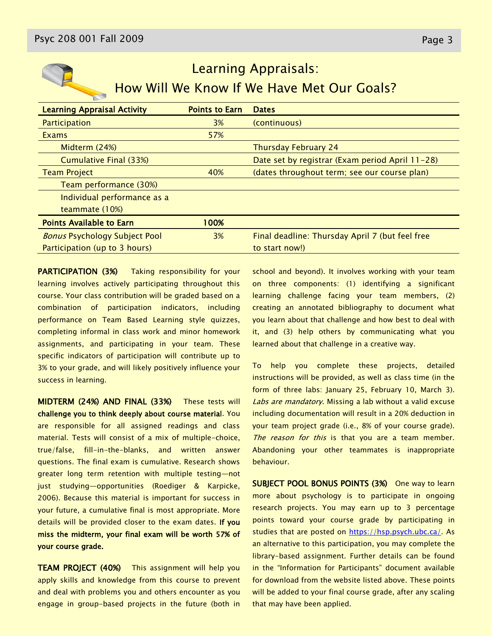

# Learning Appraisals: How Will We Know If We Have Met Our Goals?

| <b>Learning Appraisal Activity</b>   | <b>Points to Earn</b> | <b>Dates</b>                                    |
|--------------------------------------|-----------------------|-------------------------------------------------|
| Participation                        | 3%                    | (continuous)                                    |
| Exams                                | 57%                   |                                                 |
| Midterm (24%)                        |                       | <b>Thursday February 24</b>                     |
| <b>Cumulative Final (33%)</b>        |                       | Date set by registrar (Exam period April 11-28) |
| <b>Team Project</b>                  | 40%                   | (dates throughout term; see our course plan)    |
| Team performance (30%)               |                       |                                                 |
| Individual performance as a          |                       |                                                 |
| teammate (10%)                       |                       |                                                 |
| <b>Points Available to Earn</b>      | 100%                  |                                                 |
| <b>Bonus Psychology Subject Pool</b> | 3%                    | Final deadline: Thursday April 7 (but feel free |
| Participation (up to 3 hours)        |                       | to start now!)                                  |
|                                      |                       |                                                 |

**PARTICIPATION (3%)** Taking responsibility for your learning involves actively participating throughout this course. Your class contribution will be graded based on a combination of participation indicators, including performance on Team Based Learning style quizzes, completing informal in class work and minor homework assignments, and participating in your team. These specific indicators of participation will contribute up to 3% to your grade, and will likely positively influence your success in learning.

MIDTERM (24%) AND FINAL (33%) These tests will challenge you to think deeply about course material. You are responsible for all assigned readings and class material. Tests will consist of a mix of multiple-choice, true/false, fill-in-the-blanks, and written answer questions. The final exam is cumulative. Research shows greater long term retention with multiple testing—not just studying—opportunities (Roediger & Karpicke, 2006). Because this material is important for success in your future, a cumulative final is most appropriate. More details will be provided closer to the exam dates. If you miss the midterm, your final exam will be worth 57% of your course grade.

**TEAM PROJECT (40%)** This assignment will help you apply skills and knowledge from this course to prevent and deal with problems you and others encounter as you engage in group-based projects in the future (both in

school and beyond). It involves working with your team on three components: (1) identifying a significant learning challenge facing your team members, (2) creating an annotated bibliography to document what you learn about that challenge and how best to deal with it, and (3) help others by communicating what you learned about that challenge in a creative way.

To help you complete these projects, detailed instructions will be provided, as well as class time (in the form of three labs: January 25, February 10, March 3). Labs are mandatory. Missing a lab without a valid excuse including documentation will result in a 20% deduction in your team project grade (i.e., 8% of your course grade). The reason for this is that you are a team member. Abandoning your other teammates is inappropriate behaviour.

SUBJECT POOL BONUS POINTS (3%) One way to learn more about psychology is to participate in ongoing research projects. You may earn up to 3 percentage points toward your course grade by participating in studies that are posted on [https://hsp.psych.ubc.ca/.](https://hsp.psych.ubc.ca/) As an alternative to this participation, you may complete the library-based assignment. Further details can be found in the "Information for Participants" document available for download from the website listed above. These points will be added to your final course grade, after any scaling that may have been applied.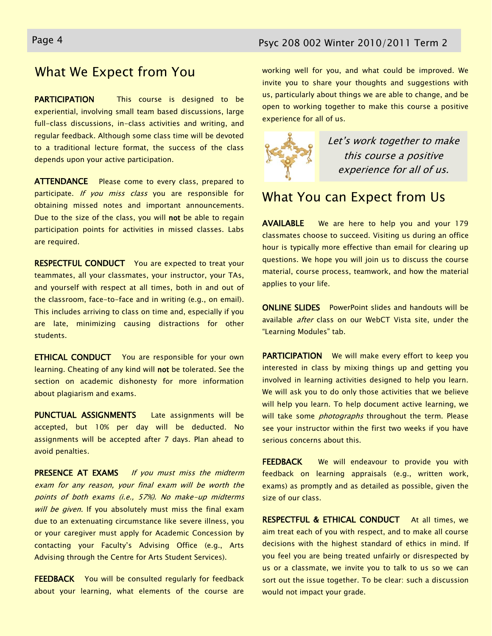## What We Expect from You

**PARTICIPATION** This course is designed to be experiential, involving small team based discussions, large full-class discussions, in-class activities and writing, and regular feedback. Although some class time will be devoted to a traditional lecture format, the success of the class depends upon your active participation.

ATTENDANCE Please come to every class, prepared to participate. If you miss class you are responsible for obtaining missed notes and important announcements. Due to the size of the class, you will not be able to regain participation points for activities in missed classes. Labs are required.

**RESPECTFUL CONDUCT** You are expected to treat your teammates, all your classmates, your instructor, your TAs, and yourself with respect at all times, both in and out of the classroom, face-to-face and in writing (e.g., on email). This includes arriving to class on time and, especially if you are late, minimizing causing distractions for other students.

**ETHICAL CONDUCT** You are responsible for your own learning. Cheating of any kind will not be tolerated. See the section on academic dishonesty for more information about plagiarism and exams.

PUNCTUAL ASSIGNMENTS Late assignments will be accepted, but 10% per day will be deducted. No assignments will be accepted after 7 days. Plan ahead to avoid penalties.

PRESENCE AT EXAMS If you must miss the midterm exam for any reason, your final exam will be worth the points of both exams (i.e., 57%). No make-up midterms will be given. If you absolutely must miss the final exam due to an extenuating circumstance like severe illness, you or your caregiver must apply for Academic Concession by contacting your Faculty's Advising Office (e.g., Arts Advising through the Centre for Arts Student Services).

FEEDBACK You will be consulted regularly for feedback about your learning, what elements of the course are working well for you, and what could be improved. We invite you to share your thoughts and suggestions with us, particularly about things we are able to change, and be open to working together to make this course a positive experience for all of us.



Let's work together to make this course a positive experience for all of us.

## What You can Expect from Us

AVAILABLE We are here to help you and your 179 classmates choose to succeed. Visiting us during an office hour is typically more effective than email for clearing up questions. We hope you will join us to discuss the course material, course process, teamwork, and how the material applies to your life.

ONLINE SLIDES PowerPoint slides and handouts will be available after class on our WebCT Vista site, under the "Learning Modules" tab.

**PARTICIPATION** We will make every effort to keep you interested in class by mixing things up and getting you involved in learning activities designed to help you learn. We will ask you to do only those activities that we believe will help you learn. To help document active learning, we will take some *photographs* throughout the term. Please see your instructor within the first two weeks if you have serious concerns about this.

FEEDBACK We will endeavour to provide you with feedback on learning appraisals (e.g., written work, exams) as promptly and as detailed as possible, given the size of our class.

RESPECTFUL & ETHICAL CONDUCT At all times, we aim treat each of you with respect, and to make all course decisions with the highest standard of ethics in mind. If you feel you are being treated unfairly or disrespected by us or a classmate, we invite you to talk to us so we can sort out the issue together. To be clear: such a discussion would not impact your grade.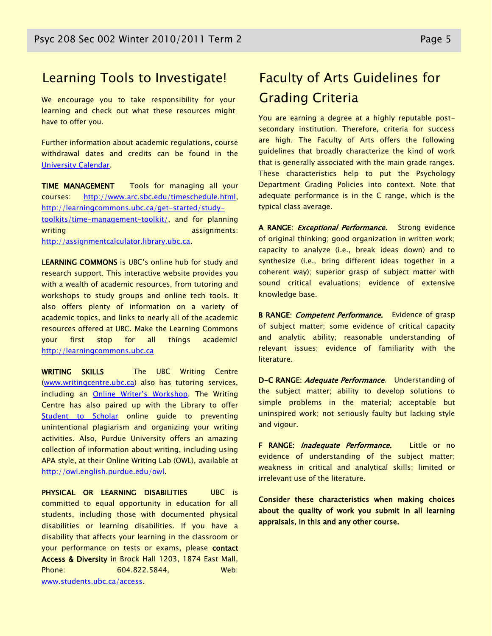### Learning Tools to Investigate!

We encourage you to take responsibility for your learning and check out what these resources might have to offer you.

Further information about academic regulations, course withdrawal dates and credits can be found in the [University Calendar.](http://students.ubc.ca/calendar/academicyear.cfm)

TIME MANAGEMENT Tools for managing all your courses: [http://www.arc.sbc.edu/timeschedule.html,](http://www.arc.sbc.edu/timeschedule.html) [http://learningcommons.ubc.ca/get-started/study](http://learningcommons.ubc.ca/get-started/study-toolkits/time-management-toolkit/)[toolkits/time-management-toolkit/,](http://learningcommons.ubc.ca/get-started/study-toolkits/time-management-toolkit/) and for planning writing assignments: [http://assignmentcalculator.library.ubc.ca.](http://assignmentcalculator.library.ubc.ca/)

LEARNING COMMONS is UBC's online hub for study and research support. This interactive website provides you with a wealth of academic resources, from tutoring and workshops to study groups and online tech tools. It also offers plenty of information on a variety of academic topics, and links to nearly all of the academic resources offered at UBC. Make the Learning Commons your first stop for all things academic! [http://learningcommons.ubc.ca](http://learningcommons.ubc.ca/)

WRITING SKILLS The UBC Writing Centre [\(www.writingcentre.ubc.ca\)](http://www.writingcentre.ubc.ca/) also has tutoring services, including an [Online Writer's Workshop](http://www.writingcentre.ubc.ca/workshop/index.html). The Writing Centre has also paired up with the Library to offer [Student to Scholar](http://www.library.ubc.ca/hss/instruction/sts/Whole_page.htm) online guide to preventing unintentional plagiarism and organizing your writing activities. Also, Purdue University offers an amazing collection of information about writing, including using APA style, at their Online Writing Lab (OWL), available at [http://owl.english.purdue.edu/owl.](http://owl.english.purdue.edu/owl/)

PHYSICAL OR LEARNING DISABILITIES UBC is committed to equal opportunity in education for all students, including those with documented physical disabilities or learning disabilities. If you have a disability that affects your learning in the classroom or your performance on tests or exams, please contact Access & Diversity in Brock Hall 1203, 1874 East Mall, Phone: 604.822.5844, Web: [www.students.ubc.ca/access.](http://www.students.ubc.ca/access)

## Faculty of Arts Guidelines for Grading Criteria

You are earning a degree at a highly reputable postsecondary institution. Therefore, criteria for success are high. The Faculty of Arts offers the following guidelines that broadly characterize the kind of work that is generally associated with the main grade ranges. These characteristics help to put the Psychology Department Grading Policies into context. Note that adequate performance is in the C range, which is the typical class average.

A RANGE: *Exceptional Performance*. Strong evidence of original thinking; good organization in written work; capacity to analyze (i.e., break ideas down) and to synthesize (i.e., bring different ideas together in a coherent way); superior grasp of subject matter with sound critical evaluations; evidence of extensive knowledge base.

B RANGE: *Competent Performance*. Evidence of grasp of subject matter; some evidence of critical capacity and analytic ability; reasonable understanding of relevant issues; evidence of familiarity with the literature.

D-C RANGE: Adequate Performance. Understanding of the subject matter; ability to develop solutions to simple problems in the material; acceptable but uninspired work; not seriously faulty but lacking style and vigour.

F RANGE: *Inadequate Performance*. Little or no evidence of understanding of the subject matter; weakness in critical and analytical skills; limited or irrelevant use of the literature.

Consider these characteristics when making choices about the quality of work you submit in all learning appraisals, in this and any other course.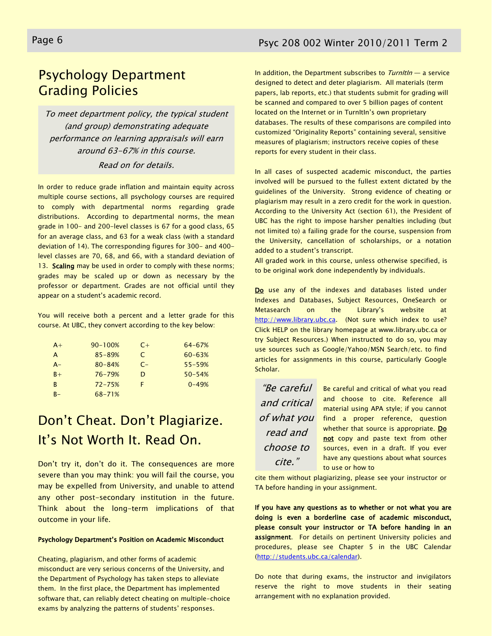## Psychology Department Grading Policies

To meet department policy, the typical student (and group) demonstrating adequate performance on learning appraisals will earn around 63-67% in this course.

### Read on for details.

In order to reduce grade inflation and maintain equity across multiple course sections, all psychology courses are required to comply with departmental norms regarding grade distributions. According to departmental norms, the mean grade in 100- and 200-level classes is 67 for a good class, 65 for an average class, and 63 for a weak class (with a standard deviation of 14). The corresponding figures for 300- and 400 level classes are 70, 68, and 66, with a standard deviation of 13. Scaling may be used in order to comply with these norms; grades may be scaled up or down as necessary by the professor or department. Grades are not official until they appear on a student's academic record.

You will receive both a percent and a letter grade for this course. At UBC, they convert according to the key below:

| $A+$         | $90 - 100%$ | $C+$ | $64 - 67%$ |
|--------------|-------------|------|------------|
| A            | $85 - 89%$  | C    | $60 - 63%$ |
| $A -$        | $80 - 84%$  | $C-$ | $55 - 59%$ |
| $B +$        | $76 - 79%$  | D    | $50 - 54%$ |
| <sub>R</sub> | $72 - 75%$  | F    | $0 - 49%$  |
| $B -$        | 68-71%      |      |            |

## Don't Cheat. Don't Plagiarize. It's Not Worth It. Read On.

Don't try it, don't do it. The consequences are more severe than you may think: you will fail the course, you may be expelled from University, and unable to attend any other post-secondary institution in the future. Think about the long-term implications of that outcome in your life.

#### Psychology Department's Position on Academic Misconduct

Cheating, plagiarism, and other forms of academic misconduct are very serious concerns of the University, and the Department of Psychology has taken steps to alleviate them. In the first place, the Department has implemented software that, can reliably detect cheating on multiple-choice exams by analyzing the patterns of students' responses.

In addition, the Department subscribes to  $Turnltln - a$  service designed to detect and deter plagiarism. All materials (term papers, lab reports, etc.) that students submit for grading will be scanned and compared to over 5 billion pages of content located on the Internet or in TurnItIn's own proprietary databases. The results of these comparisons are compiled into customized "Originality Reports" containing several, sensitive measures of plagiarism; instructors receive copies of these reports for every student in their class.

In all cases of suspected academic misconduct, the parties involved will be pursued to the fullest extent dictated by the guidelines of the University. Strong evidence of cheating or plagiarism may result in a zero credit for the work in question. According to the University Act (section 61), the President of UBC has the right to impose harsher penalties including (but not limited to) a failing grade for the course, suspension from the University, cancellation of scholarships, or a notation added to a student's transcript.

All graded work in this course, unless otherwise specified, is to be original work done independently by individuals.

Do use any of the indexes and databases listed under Indexes and Databases, Subject Resources, OneSearch or Metasearch on the Library's website at [http://www.library.ubc.ca.](http://www.library.ubc.ca/) (Not sure which index to use? Click HELP on the library homepage at www.library.ubc.ca or try Subject Resources.) When instructed to do so, you may use sources such as Google/Yahoo/MSN Search/etc. to find articles for assignments in this course, particularly Google Scholar.

―Be careful and critical of what you read and choose to cite.‖

Be careful and critical of what you read and choose to cite. Reference all material using APA style; if you cannot find a proper reference, question whether that source is appropriate. Do not copy and paste text from other sources, even in a draft. If you ever have any questions about what sources to use or how to

cite them without plagiarizing, please see your instructor or TA before handing in your assignment.

If you have any questions as to whether or not what you are doing is even a borderline case of academic misconduct, please consult your instructor or TA before handing in an assignment. For details on pertinent University policies and procedures, please see Chapter 5 in the UBC Calendar [\(http://students.ubc.ca/calendar\)](http://students.ubc.ca/calendar).

Do note that during exams, the instructor and invigilators reserve the right to move students in their seating arrangement with no explanation provided.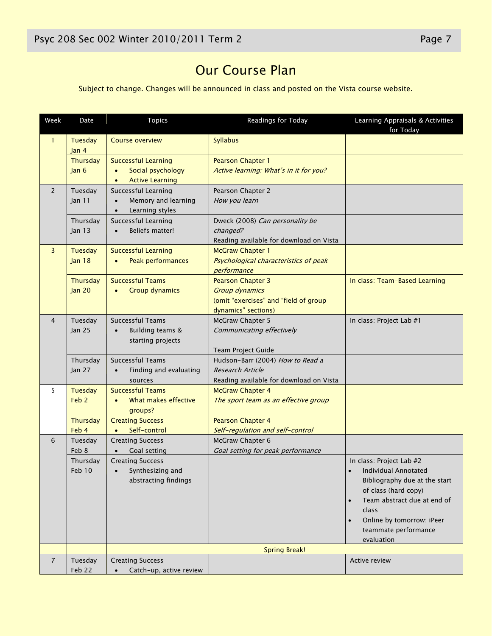## Our Course Plan

Subject to change. Changes will be announced in class and posted on the Vista course website.

| Week           | Date                         | <b>Topics</b>                                                                          | Readings for Today                                                                                                | Learning Appraisals & Activities<br>for Today                                                                                                                                                                                                                      |
|----------------|------------------------------|----------------------------------------------------------------------------------------|-------------------------------------------------------------------------------------------------------------------|--------------------------------------------------------------------------------------------------------------------------------------------------------------------------------------------------------------------------------------------------------------------|
| $\mathbf{1}$   | Tuesday<br>Jan 4             | <b>Course overview</b>                                                                 | <b>Syllabus</b>                                                                                                   |                                                                                                                                                                                                                                                                    |
|                | Thursday<br>lan <sub>6</sub> | <b>Successful Learning</b><br>Social psychology<br>$\bullet$<br><b>Active Learning</b> | Pearson Chapter 1<br>Active learning: What's in it for you?                                                       |                                                                                                                                                                                                                                                                    |
| $\overline{2}$ | Tuesday<br>Jan 11            | Successful Learning<br>Memory and learning<br>Learning styles                          | Pearson Chapter 2<br>How you learn                                                                                |                                                                                                                                                                                                                                                                    |
|                | Thursday<br>Jan 13           | Successful Learning<br>Beliefs matter!                                                 | Dweck (2008) Can personality be<br>changed?<br>Reading available for download on Vista                            |                                                                                                                                                                                                                                                                    |
| 3              | Tuesday<br>Jan <sub>18</sub> | <b>Successful Learning</b><br>Peak performances                                        | <b>McGraw Chapter 1</b><br>Psychological characteristics of peak<br>performance                                   |                                                                                                                                                                                                                                                                    |
|                | Thursday<br><b>Jan 20</b>    | <b>Successful Teams</b><br><b>Group dynamics</b>                                       | <b>Pearson Chapter 3</b><br><b>Group dynamics</b><br>(omit "exercises" and "field of group<br>dynamics" sections) | In class: Team-Based Learning                                                                                                                                                                                                                                      |
| $\overline{4}$ | Tuesday<br><b>Jan 25</b>     | Successful Teams<br>Building teams &<br>starting projects                              | McGraw Chapter 5<br>Communicating effectively<br>Team Project Guide                                               | In class: Project Lab #1                                                                                                                                                                                                                                           |
|                | Thursday<br>Jan 27           | <b>Successful Teams</b><br>Finding and evaluating<br>sources                           | Hudson-Barr (2004) How to Read a<br><b>Research Article</b><br>Reading available for download on Vista            |                                                                                                                                                                                                                                                                    |
| 5              | Tuesday<br>Feb <sub>2</sub>  | <b>Successful Teams</b><br>What makes effective<br>groups?                             | <b>McGraw Chapter 4</b><br>The sport team as an effective group                                                   |                                                                                                                                                                                                                                                                    |
|                | Thursday<br>Feb 4            | <b>Creating Success</b><br>Self-control<br>$\bullet$                                   | <b>Pearson Chapter 4</b><br>Self-regulation and self-control                                                      |                                                                                                                                                                                                                                                                    |
| 6              | Tuesday<br>Feb 8             | <b>Creating Success</b><br>Goal setting                                                | McGraw Chapter 6<br>Goal setting for peak performance                                                             |                                                                                                                                                                                                                                                                    |
|                | Thursday<br><b>Feb 10</b>    | <b>Creating Success</b><br>Synthesizing and<br>abstracting findings                    |                                                                                                                   | In class: Project Lab #2<br><b>Individual Annotated</b><br>$\bullet$<br>Bibliography due at the start<br>of class (hard copy)<br>Team abstract due at end of<br>$\bullet$<br>class<br>Online by tomorrow: iPeer<br>$\bullet$<br>teammate performance<br>evaluation |
|                |                              | <b>Spring Break!</b>                                                                   |                                                                                                                   |                                                                                                                                                                                                                                                                    |
| $\overline{7}$ | Tuesday<br>Feb 22            | <b>Creating Success</b><br>Catch-up, active review                                     |                                                                                                                   | Active review                                                                                                                                                                                                                                                      |